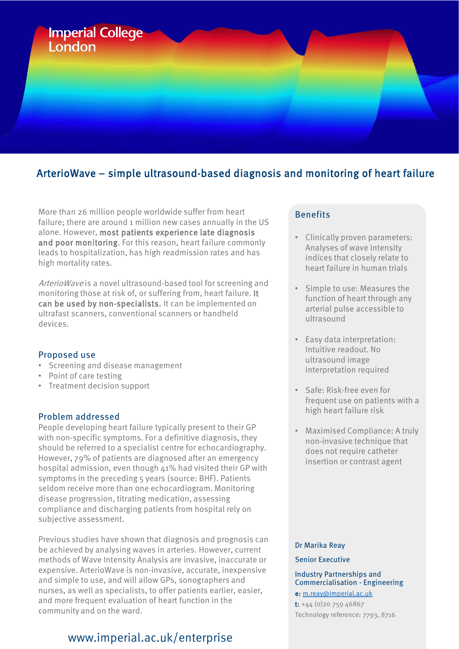

## ArterioWave – simple ultrasound-based diagnosis and monitoring of heart failure

More than 26 million people worldwide suffer from heart failure; there are around 1 million new cases annually in the US alone. However, most patients experience late diagnosis and poor monitoring. For this reason, heart failure commonly leads to hospitalization, has high readmission rates and has high mortality rates.

ArterioWave is a novel ultrasound-based tool for screening and monitoring those at risk of, or suffering from, heart failure. It can be used by non-specialists. It can be implemented on ultrafast scanners, conventional scanners or handheld devices.

#### Proposed use

- Screening and disease management
- Point of care testing
- Treatment decision support

#### Problem addressed

People developing heart failure typically present to their GP with non-specific symptoms. For a definitive diagnosis, they should be referred to a specialist centre for echocardiography. However, 79% of patients are diagnosed after an emergency hospital admission, even though 41% had visited their GP with symptoms in the preceding 5 years (source: BHF). Patients seldom receive more than one echocardiogram. Monitoring disease progression, titrating medication, assessing compliance and discharging patients from hospital rely on subjective assessment.

Previous studies have shown that diagnosis and prognosis can be achieved by analysing waves in arteries. However, current methods of Wave Intensity Analysis are invasive, inaccurate or expensive. ArterioWave is non-invasive, accurate, inexpensive and simple to use, and will allow GPs, sonographers and nurses, as well as specialists, to offer patients earlier, easier, and more frequent evaluation of heart function in the community and on the ward.

# www.imperial.ac.uk/enterprise

### **Benefits**

- Clinically proven parameters: Analyses of wave intensity indices that closely relate to heart failure in human trials
- Simple to use: Measures the function of heart through any arterial pulse accessible to ultrasound
- Easy data interpretation: Intuitive readout. No ultrasound image interpretation required
- Safe: Risk-free even for frequent use on patients with a high heart failure risk
- Maximised Compliance: A truly non-invasive technique that does not require catheter insertion or contrast agent

#### Dr Marika Reay

#### Senior Executive

Industry Partnerships and Commercialisation - Engineering e: [m.reay@imperial.ac.uk](mailto:m.reay@imperial.ac.uk)

t: +44 (0)20 759 46867 Technology reference: 7793, 8716